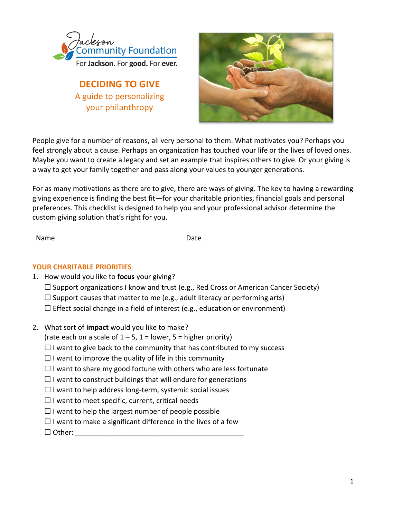

**DECIDING TO GIVE** A guide to personalizing your philanthropy



People give for a number of reasons, all very personal to them. What motivates you? Perhaps you feel strongly about a cause. Perhaps an organization has touched your life or the lives of loved ones. Maybe you want to create a legacy and set an example that inspires others to give. Or your giving is a way to get your family together and pass along your values to younger generations.

For as many motivations as there are to give, there are ways of giving. The key to having a rewarding giving experience is finding the best fit—for your charitable priorities, financial goals and personal preferences. This checklist is designed to help you and your professional advisor determine the custom giving solution that's right for you.

Name Date **Date** 

## **YOUR CHARITABLE PRIORITIES**

- 1. How would you like to **focus** your giving?
	- $\Box$  Support organizations I know and trust (e.g., Red Cross or American Cancer Society)
	- $\Box$  Support causes that matter to me (e.g., adult literacy or performing arts)
	- $\Box$  Effect social change in a field of interest (e.g., education or environment)
- 2. What sort of **impact** would you like to make?
	- (rate each on a scale of  $1 5$ ,  $1 =$  lower,  $5 =$  higher priority)
	- $\Box$  I want to give back to the community that has contributed to my success
	- $\Box$  I want to improve the quality of life in this community
	- $\Box$  I want to share my good fortune with others who are less fortunate
	- $\Box$  I want to construct buildings that will endure for generations
	- $\Box$  I want to help address long-term, systemic social issues
	- $\Box$  I want to meet specific, current, critical needs
	- $\Box$  I want to help the largest number of people possible
	- $\Box$  I want to make a significant difference in the lives of a few
	- ☐ Other: \_\_\_\_\_\_\_\_\_\_\_\_\_\_\_\_\_\_\_\_\_\_\_\_\_\_\_\_\_\_\_\_\_\_\_\_\_\_\_\_\_\_\_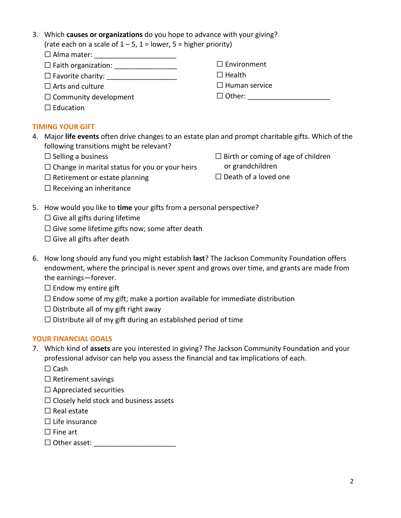| 3. Which <b>causes or organizations</b> do you hope to advance with your giving? |
|----------------------------------------------------------------------------------|
| (rate each on a scale of $1 - 5$ , $1 =$ lower, $5 =$ higher priority)           |

| $\Box$ Alma mater:           |                      |  |  |
|------------------------------|----------------------|--|--|
| $\Box$ Faith organization:   | $\Box$ Environment   |  |  |
| $\Box$ Favorite charity:     | $\Box$ Health        |  |  |
| $\Box$ Arts and culture      | $\Box$ Human service |  |  |
| $\Box$ Community development | $\Box$ Other:        |  |  |
| $\Box$ Education             |                      |  |  |

#### **TIMING YOUR GIFT**

- 4. Major **life events** often drive changes to an estate plan and prompt charitable gifts. Which of the following transitions might be relevant?
	- $\Box$  Selling a business
	- $\Box$  Change in marital status for you or your heirs
	- $\Box$  Retirement or estate planning
- $\Box$  Birth or coming of age of children or grandchildren
- $\Box$  Death of a loved one

- $\Box$  Receiving an inheritance
- 5. How would you like to **time** your gifts from a personal perspective?
	- $\Box$  Give all gifts during lifetime
	- $\Box$  Give some lifetime gifts now; some after death
	- $\Box$  Give all gifts after death
- 6. How long should any fund you might establish **last**? The Jackson Community Foundation offers endowment, where the principal is never spent and grows over time, and grants are made from the earnings—forever.
	- $\Box$  Endow my entire gift
	- $\Box$  Endow some of my gift; make a portion available for immediate distribution
	- $\Box$  Distribute all of my gift right away
	- $\Box$  Distribute all of my gift during an established period of time

## **YOUR FINANCIAL GOALS**

- 7. Which kind of **assets** are you interested in giving? The Jackson Community Foundation and your professional advisor can help you assess the financial and tax implications of each.
	- ☐ Cash
	- $\Box$  Retirement savings
	- $\Box$  Appreciated securities
	- $\Box$  Closely held stock and business assets
	- $\Box$  Real estate
	- $\Box$  Life insurance
	- □ Fine art
	- ☐ Other asset: \_\_\_\_\_\_\_\_\_\_\_\_\_\_\_\_\_\_\_\_\_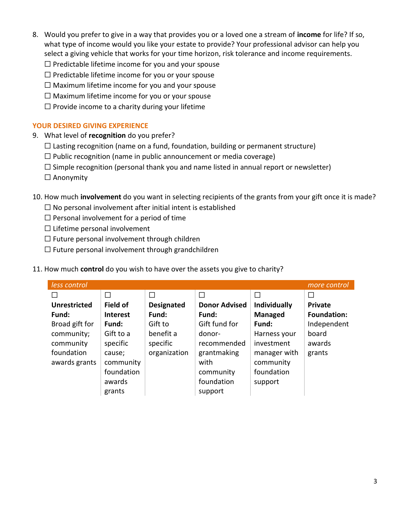- 8. Would you prefer to give in a way that provides you or a loved one a stream of **income** for life? If so, what type of income would you like your estate to provide? Your professional advisor can help you select a giving vehicle that works for your time horizon, risk tolerance and income requirements.
	- $\Box$  Predictable lifetime income for you and your spouse
	- $\Box$  Predictable lifetime income for you or your spouse
	- $\Box$  Maximum lifetime income for you and your spouse
	- $\Box$  Maximum lifetime income for you or your spouse
	- $\Box$  Provide income to a charity during your lifetime

## **YOUR DESIRED GIVING EXPERIENCE**

- 9. What level of **recognition** do you prefer?
	- $\Box$  Lasting recognition (name on a fund, foundation, building or permanent structure)
	- $\Box$  Public recognition (name in public announcement or media coverage)
	- $\square$  Simple recognition (personal thank you and name listed in annual report or newsletter)
	- ☐ Anonymity

# 10. How much **involvement** do you want in selecting recipients of the grants from your gift once it is made?

- $\Box$  No personal involvement after initial intent is established
- $\Box$  Personal involvement for a period of time
- $\Box$  Lifetime personal involvement
- $\Box$  Future personal involvement through children
- $\Box$  Future personal involvement through grandchildren

## 11. How much **control** do you wish to have over the assets you give to charity?

| less control        | more control    |                   |                      |                     |                    |
|---------------------|-----------------|-------------------|----------------------|---------------------|--------------------|
| П                   | $\Box$          |                   |                      | П                   | П                  |
| <b>Unrestricted</b> | <b>Field of</b> | <b>Designated</b> | <b>Donor Advised</b> | <b>Individually</b> | <b>Private</b>     |
| Fund:               | <b>Interest</b> | Fund:             | Fund:                | <b>Managed</b>      | <b>Foundation:</b> |
| Broad gift for      | Fund:           | Gift to           | Gift fund for        | Fund:               | Independent        |
| community;          | Gift to a       | benefit a         | donor-               | Harness your        | board              |
| community           | specific        | specific          | recommended          | investment          | awards             |
| foundation          | cause;          | organization      | grantmaking          | manager with        | grants             |
| awards grants       | community       |                   | with                 | community           |                    |
|                     | foundation      |                   | community            | foundation          |                    |
|                     | awards          |                   | foundation           | support             |                    |
|                     | grants          |                   | support              |                     |                    |